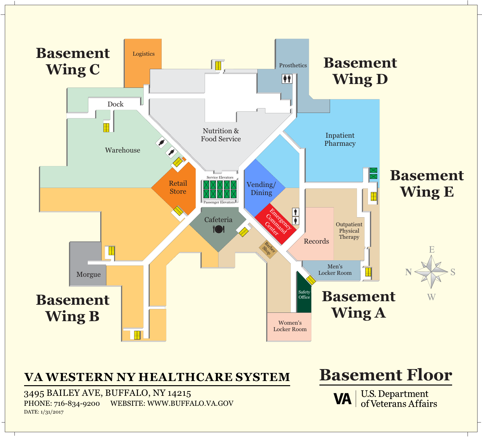### **Basement Floor**

**U.S. Department<br>of Veterans Affairs VA** 



### **VA WESTERN NY HEALTHCARE SYSTEM**

3495 BAILEY AVE, BUFFALO, NY 14215 PHONE: 716-834-9200 WEBSITE: WWW.BUFFALO.VA.GOV DATE: 1/31/2017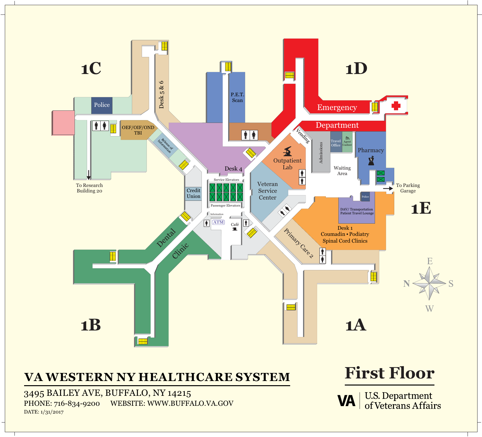

### **VA WESTERN NY HEALTHCARE SYSTEM First Floor**

3495 BAILEY AVE, BUFFALO, NY 14215 PHONE: 716-834-9200 WEBSITE: WWW.BUFFALO.VA.GOV DATE: 1/31/2017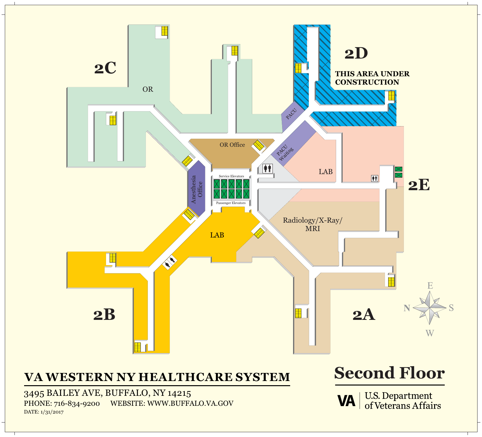

### **VA WESTERN NY HEALTHCARE SYSTEM Second Floor**

3495 BAILEY AVE, BUFFALO, NY 14215 PHONE: 716-834-9200 WEBSITE: WWW.BUFFALO.VA.GOV DATE: 1/31/2017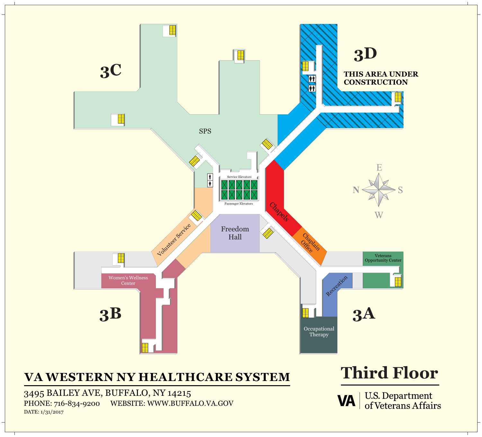

3495 BAILEY AVE, BUFFALO, NY 14215 PHONE: 716-834-9200 WEBSITE: WWW.BUFFALO.VA.GOV DATE: 1/31/2017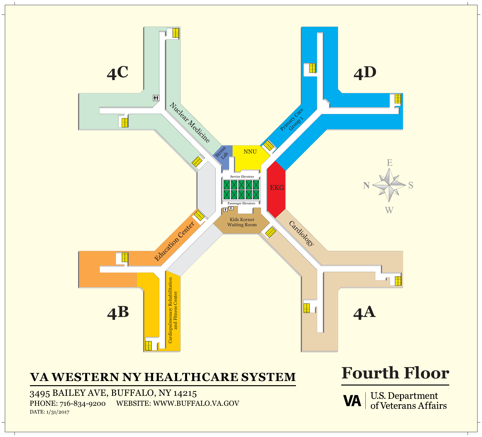

## **VA WESTERN NY HEALTHCARE SYSTEM Fourth Floor**

3495 BAILEY AVE, BUFFALO, NY 14215 PHONE: 716-834-9200 WEBSITE: WWW.BUFFALO.VA.GOV DATE: 1/31/2017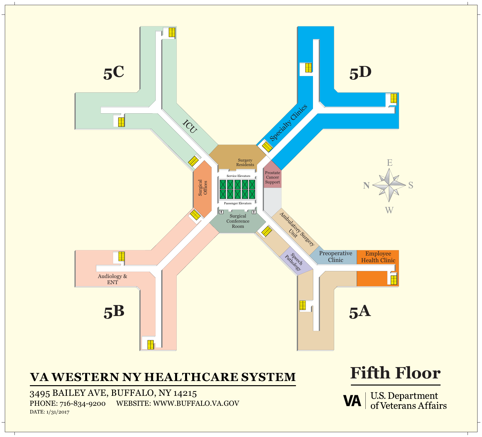

3495 BAILEY AVE, BUFFALO, NY 14215 PHONE: 716-834-9200 WEBSITE: WWW.BUFFALO.VA.GOV DATE:  $1/31/2017$ 

U.S. Department<br>of Veterans Affairs **VA** 

### **VA WESTERN NY HEALTHCARE SYSTEM Fifth Floor**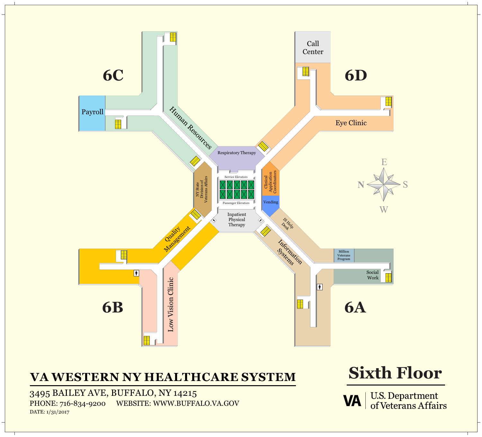

## **VA WESTERN NY HEALTHCARE SYSTEM Sixth Floor**

3495 BAILEY AVE, BUFFALO, NY 14215 PHONE: 716-834-9200 WEBSITE: WWW.BUFFALO.VA.GOV DATE: 1/31/2017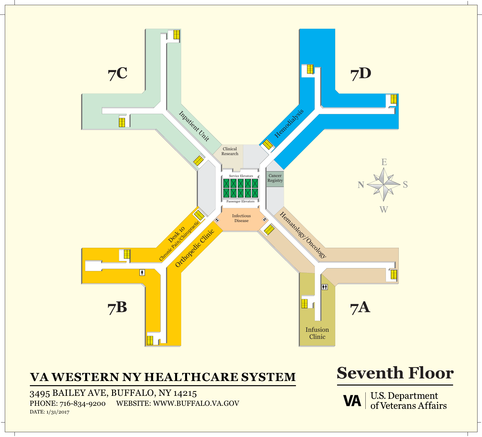

### **VA WESTERN NY HEALTHCARE SYSTEM Seventh Floor**

3495 BAILEY AVE, BUFFALO, NY 14215 PHONE: 716-834-9200 WEBSITE: WWW.BUFFALO.VA.GOV DATE: 1/31/2017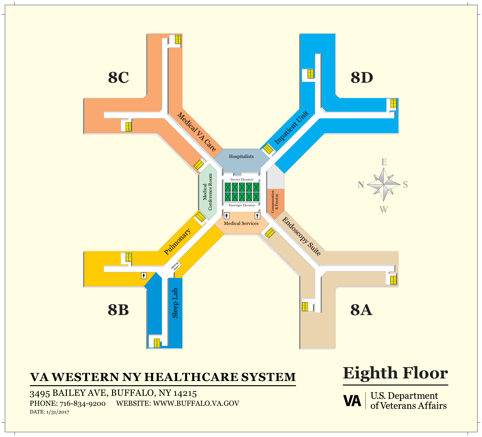

## **VA WESTERN NY HEALTHCARE SYSTEM Eighth Floor**

3495 BAILEY AVE, BUFFALO, NY 14215 PHONE: 716-834-9200 WEBSITE: WWW.BUFFALO.VA.GOV DATE: 1/31/2017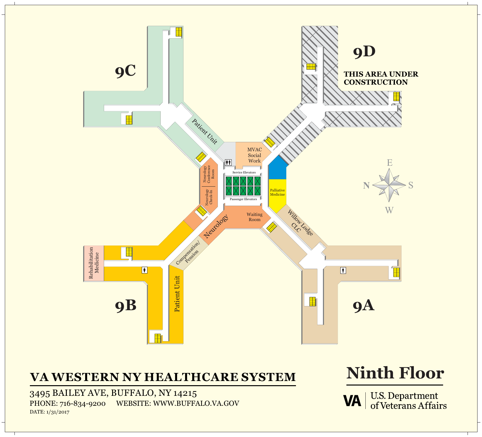

3495 BAILEY AVE, BUFFALO, NY 14215 PHONE: 716-834-9200 WEBSITE: WWW.BUFFALO.VA.GOV DATE:  $1/31/2017$ 

U.S. Department<br>of Veterans Affairs **VA** 

# **VA WESTERN NY HEALTHCARE SYSTEM Ninth Floor**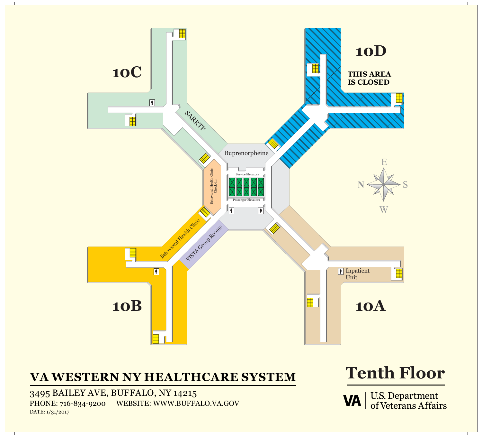

### **VA WESTERN NY HEALTHCARE SYSTEM Tenth Floor**

3495 BAILEY AVE, BUFFALO, NY 14215 PHONE: 716-834-9200 WEBSITE: WWW.BUFFALO.VA.GOV DATE: 1/31/2017